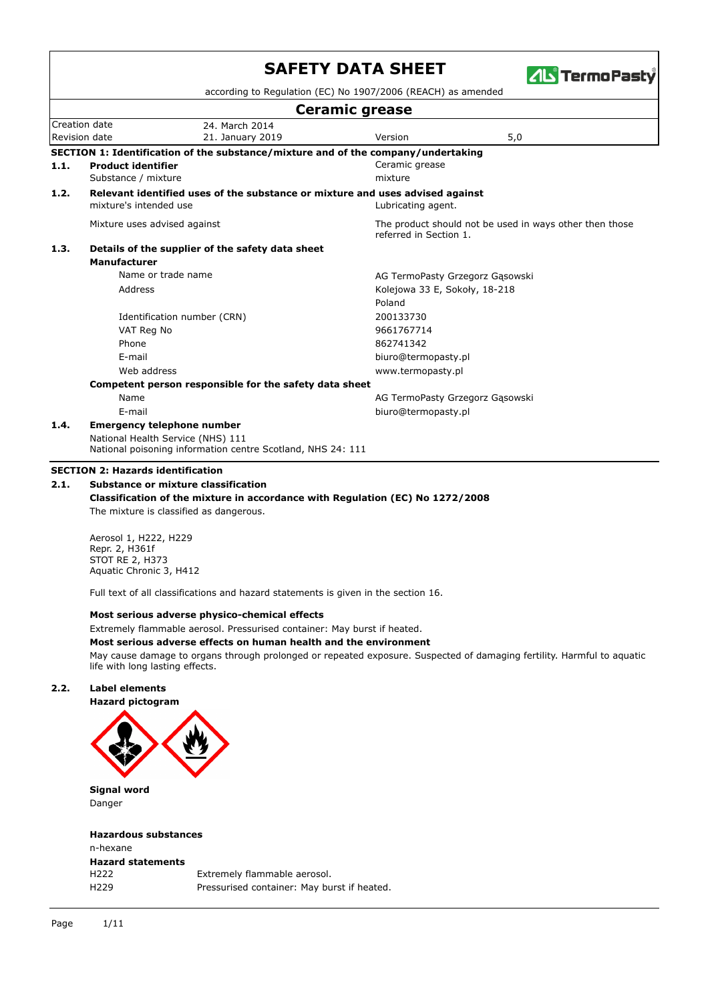|      |                                                  |                                                                                                  | <b>SAFETY DATA SHEET</b>                                     | <b>ZIL TermoPasty</b>                                   |
|------|--------------------------------------------------|--------------------------------------------------------------------------------------------------|--------------------------------------------------------------|---------------------------------------------------------|
|      |                                                  |                                                                                                  | according to Regulation (EC) No 1907/2006 (REACH) as amended |                                                         |
|      |                                                  |                                                                                                  | <b>Ceramic grease</b>                                        |                                                         |
|      | Creation date<br>Revision date                   | 24. March 2014<br>21. January 2019                                                               | Version                                                      | 5,0                                                     |
|      |                                                  | SECTION 1: Identification of the substance/mixture and of the company/undertaking                |                                                              |                                                         |
| 1.1. | <b>Product identifier</b><br>Substance / mixture |                                                                                                  | Ceramic grease<br>mixture                                    |                                                         |
| 1.2. | mixture's intended use                           | Relevant identified uses of the substance or mixture and uses advised against                    | Lubricating agent.                                           |                                                         |
|      | Mixture uses advised against                     |                                                                                                  | referred in Section 1.                                       | The product should not be used in ways other then those |
| 1.3. |                                                  | Details of the supplier of the safety data sheet                                                 |                                                              |                                                         |
|      | <b>Manufacturer</b>                              |                                                                                                  |                                                              |                                                         |
|      |                                                  | Name or trade name                                                                               | AG TermoPasty Grzegorz Gasowski                              |                                                         |
|      | Address                                          |                                                                                                  | Kolejowa 33 E, Sokoły, 18-218                                |                                                         |
|      |                                                  |                                                                                                  | Poland                                                       |                                                         |
|      |                                                  | Identification number (CRN)                                                                      | 200133730                                                    |                                                         |
|      | VAT Reg No                                       |                                                                                                  | 9661767714                                                   |                                                         |
|      | Phone                                            |                                                                                                  | 862741342                                                    |                                                         |
|      | F-mail                                           |                                                                                                  | biuro@termopasty.pl                                          |                                                         |
|      | Web address                                      |                                                                                                  | www.termopasty.pl                                            |                                                         |
|      |                                                  | Competent person responsible for the safety data sheet                                           |                                                              |                                                         |
|      | Name                                             |                                                                                                  | AG TermoPasty Grzegorz Gąsowski                              |                                                         |
|      | E-mail                                           |                                                                                                  | biuro@termopasty.pl                                          |                                                         |
| 1.4. |                                                  | <b>Emergency telephone number</b>                                                                |                                                              |                                                         |
|      |                                                  | National Health Service (NHS) 111<br>National poisoning information centre Scotland, NHS 24: 111 |                                                              |                                                         |
|      |                                                  |                                                                                                  |                                                              |                                                         |

#### **SECTION 2: Hazards identification**

### **2.1. Substance or mixture classification**

**Classification of the mixture in accordance with Regulation (EC) No 1272/2008** The mixture is classified as dangerous.

Aerosol 1, H222, H229 Repr. 2, H361f STOT RE 2, H373 Aquatic Chronic 3, H412

Full text of all classifications and hazard statements is given in the section 16.

#### **Most serious adverse physico-chemical effects**

Extremely flammable aerosol. Pressurised container: May burst if heated.

**Most serious adverse effects on human health and the environment**

May cause damage to organs through prolonged or repeated exposure. Suspected of damaging fertility. Harmful to aquatic life with long lasting effects.

# **2.2. Label elements**



**Signal word** Danger

#### **Hazardous substances**

| n-hexane                 |                                             |
|--------------------------|---------------------------------------------|
| <b>Hazard statements</b> |                                             |
| H222                     | Extremely flammable aerosol.                |
| H <sub>229</sub>         | Pressurised container: May burst if heated. |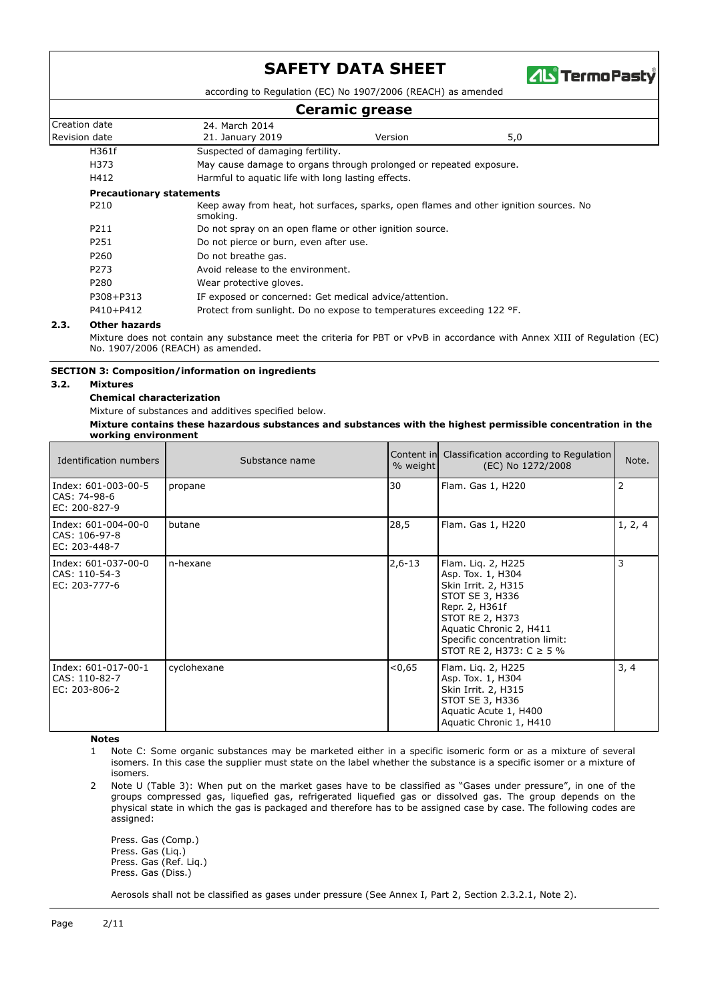

according to Regulation (EC) No 1907/2006 (REACH) as amended

# **Ceramic grease**

| <b>COMMITTE</b> ALCASE                                                                                    |                                                                       |         |     |  |  |  |  |
|-----------------------------------------------------------------------------------------------------------|-----------------------------------------------------------------------|---------|-----|--|--|--|--|
| Creation date                                                                                             | 24. March 2014                                                        |         |     |  |  |  |  |
| Revision date                                                                                             | 21. January 2019                                                      | Version | 5,0 |  |  |  |  |
| H361f                                                                                                     | Suspected of damaging fertility.                                      |         |     |  |  |  |  |
| H373                                                                                                      | May cause damage to organs through prolonged or repeated exposure.    |         |     |  |  |  |  |
| H412                                                                                                      | Harmful to aquatic life with long lasting effects.                    |         |     |  |  |  |  |
| <b>Precautionary statements</b>                                                                           |                                                                       |         |     |  |  |  |  |
| P210<br>Keep away from heat, hot surfaces, sparks, open flames and other ignition sources. No<br>smoking. |                                                                       |         |     |  |  |  |  |
| P211                                                                                                      | Do not spray on an open flame or other ignition source.               |         |     |  |  |  |  |
| P251                                                                                                      | Do not pierce or burn, even after use.                                |         |     |  |  |  |  |
| P260                                                                                                      | Do not breathe gas.                                                   |         |     |  |  |  |  |
| P273                                                                                                      | Avoid release to the environment.                                     |         |     |  |  |  |  |
| P280                                                                                                      | Wear protective gloves.                                               |         |     |  |  |  |  |
| P308+P313                                                                                                 | IF exposed or concerned: Get medical advice/attention.                |         |     |  |  |  |  |
| P410+P412                                                                                                 | Protect from sunlight. Do no expose to temperatures exceeding 122 °F. |         |     |  |  |  |  |

#### **2.3. Other hazards**

Mixture does not contain any substance meet the criteria for PBT or vPvB in accordance with Annex XIII of Regulation (EC) No. 1907/2006 (REACH) as amended.

#### **SECTION 3: Composition/information on ingredients**

#### **3.2. Mixtures**

**Chemical characterization**

Mixture of substances and additives specified below.

**Mixture contains these hazardous substances and substances with the highest permissible concentration in the working environment**

| Identification numbers                                | Substance name | $%$ weight | Content in Classification according to Regulation<br>(EC) No 1272/2008                                                                                                                                             | Note.   |
|-------------------------------------------------------|----------------|------------|--------------------------------------------------------------------------------------------------------------------------------------------------------------------------------------------------------------------|---------|
| Index: 601-003-00-5<br>CAS: 74-98-6<br>EC: 200-827-9  | propane        | 30         | Flam. Gas 1, H220                                                                                                                                                                                                  | 2       |
| Index: 601-004-00-0<br>CAS: 106-97-8<br>EC: 203-448-7 | butane         | 28,5       | Flam. Gas 1, H220                                                                                                                                                                                                  | 1, 2, 4 |
| Index: 601-037-00-0<br>CAS: 110-54-3<br>EC: 203-777-6 | n-hexane       | $2,6-13$   | Flam. Lig. 2, H225<br>Asp. Tox. 1, H304<br>Skin Irrit. 2, H315<br>STOT SE 3, H336<br>Repr. 2, H361f<br>STOT RE 2, H373<br>Aquatic Chronic 2, H411<br>Specific concentration limit:<br>STOT RE 2, H373: $C \ge 5$ % | 3       |
| Index: 601-017-00-1<br>CAS: 110-82-7<br>EC: 203-806-2 | cyclohexane    | < 0.65     | Flam. Lig. 2, H225<br>Asp. Tox. 1, H304<br>Skin Irrit. 2, H315<br>STOT SE 3, H336<br>Aquatic Acute 1, H400<br>Aquatic Chronic 1, H410                                                                              | 3, 4    |

**Notes**

- 1 Note C: Some organic substances may be marketed either in a specific isomeric form or as a mixture of several isomers. In this case the supplier must state on the label whether the substance is a specific isomer or a mixture of isomers.
- 2 Note U (Table 3): When put on the market gases have to be classified as "Gases under pressure", in one of the groups compressed gas, liquefied gas, refrigerated liquefied gas or dissolved gas. The group depends on the physical state in which the gas is packaged and therefore has to be assigned case by case. The following codes are assigned:

Press. Gas (Comp.) Press. Gas (Liq.) Press. Gas (Ref. Liq.) Press. Gas (Diss.)

Aerosols shall not be classified as gases under pressure (See Annex I, Part 2, Section 2.3.2.1, Note 2).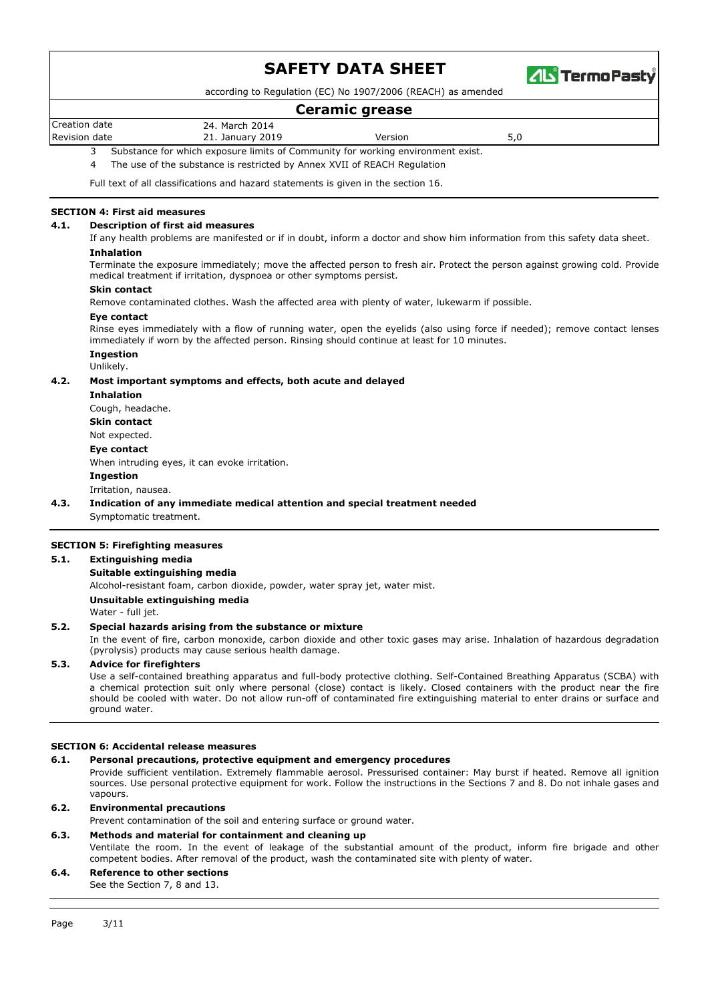

according to Regulation (EC) No 1907/2006 (REACH) as amended

### **Ceramic grease**

Creation date 24. March 2014

Revision date **21. January 2019** Version **Version** 3,0

3 Substance for which exposure limits of Community for working environment exist.

4 The use of the substance is restricted by Annex XVII of REACH Regulation

Full text of all classifications and hazard statements is given in the section 16.

### **SECTION 4: First aid measures**

#### **4.1. Description of first aid measures**

If any health problems are manifested or if in doubt, inform a doctor and show him information from this safety data sheet. **Inhalation**

Terminate the exposure immediately; move the affected person to fresh air. Protect the person against growing cold. Provide medical treatment if irritation, dyspnoea or other symptoms persist.

#### **Skin contact**

Remove contaminated clothes. Wash the affected area with plenty of water, lukewarm if possible.

#### **Eye contact**

Rinse eyes immediately with a flow of running water, open the eyelids (also using force if needed); remove contact lenses immediately if worn by the affected person. Rinsing should continue at least for 10 minutes.

# **Ingestion**

Unlikely.

#### **4.2. Most important symptoms and effects, both acute and delayed**

**Inhalation** Cough, headache. **Skin contact** Not expected. **Eye contact** When intruding eyes, it can evoke irritation. **Ingestion** Irritation, nausea.

**4.3. Indication of any immediate medical attention and special treatment needed**

Symptomatic treatment.

#### **SECTION 5: Firefighting measures**

#### **5.1. Extinguishing media**

#### **Suitable extinguishing media**

Alcohol-resistant foam, carbon dioxide, powder, water spray jet, water mist.

**Unsuitable extinguishing media**

Water - full jet.

#### **5.2. Special hazards arising from the substance or mixture**

In the event of fire, carbon monoxide, carbon dioxide and other toxic gases may arise. Inhalation of hazardous degradation (pyrolysis) products may cause serious health damage.

#### **5.3. Advice for firefighters**

Use a self-contained breathing apparatus and full-body protective clothing. Self-Contained Breathing Apparatus (SCBA) with a chemical protection suit only where personal (close) contact is likely. Closed containers with the product near the fire should be cooled with water. Do not allow run-off of contaminated fire extinguishing material to enter drains or surface and ground water.

#### **SECTION 6: Accidental release measures**

#### **6.1. Personal precautions, protective equipment and emergency procedures**

Provide sufficient ventilation. Extremely flammable aerosol. Pressurised container: May burst if heated. Remove all ignition sources. Use personal protective equipment for work. Follow the instructions in the Sections 7 and 8. Do not inhale gases and vapours.

#### **6.2. Environmental precautions**

Prevent contamination of the soil and entering surface or ground water.

# **6.3. Methods and material for containment and cleaning up**

Ventilate the room. In the event of leakage of the substantial amount of the product, inform fire brigade and other competent bodies. After removal of the product, wash the contaminated site with plenty of water.

#### **6.4. Reference to other sections** See the Section 7, 8 and 13.

Page 3/11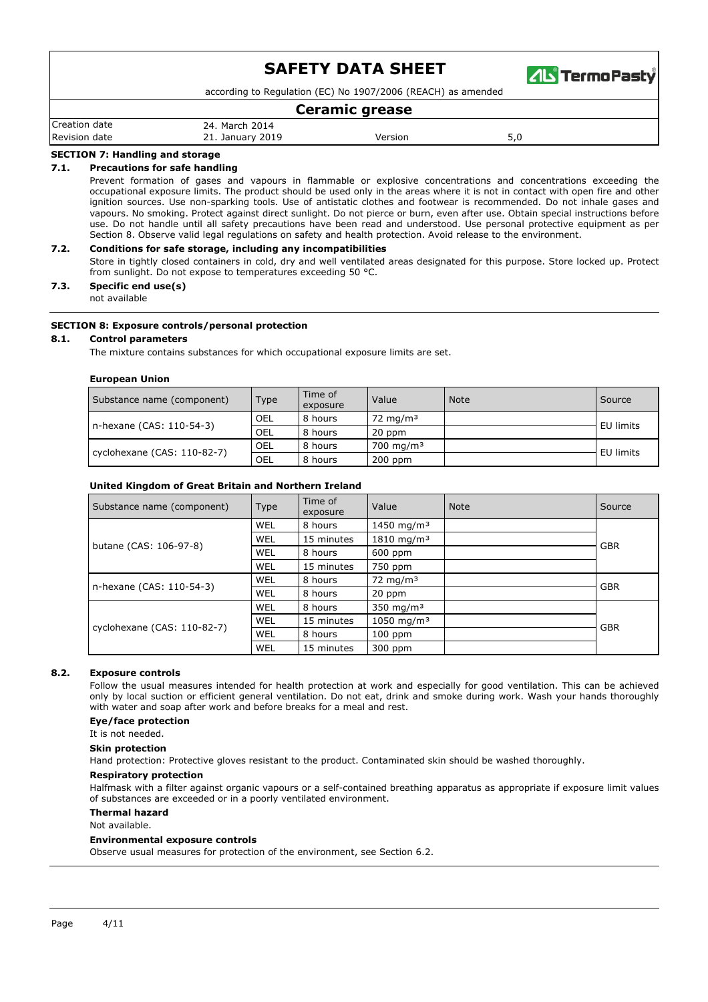

according to Regulation (EC) No 1907/2006 (REACH) as amended

### **Ceramic grease**

| Creation date    | March 2014<br>24. |         |     |
|------------------|-------------------|---------|-----|
| Revision<br>date | 21. January 2019  | Version | - - |
|                  |                   |         |     |

### **SECTION 7: Handling and storage**

#### **7.1. Precautions for safe handling**

Prevent formation of gases and vapours in flammable or explosive concentrations and concentrations exceeding the occupational exposure limits. The product should be used only in the areas where it is not in contact with open fire and other ignition sources. Use non-sparking tools. Use of antistatic clothes and footwear is recommended. Do not inhale gases and vapours. No smoking. Protect against direct sunlight. Do not pierce or burn, even after use. Obtain special instructions before use. Do not handle until all safety precautions have been read and understood. Use personal protective equipment as per Section 8. Observe valid legal regulations on safety and health protection. Avoid release to the environment.

#### **7.2. Conditions for safe storage, including any incompatibilities**

Store in tightly closed containers in cold, dry and well ventilated areas designated for this purpose. Store locked up. Protect from sunlight. Do not expose to temperatures exceeding 50 °C.

# **7.3. Specific end use(s)**

not available

#### **SECTION 8: Exposure controls/personal protection**

#### **8.1. Control parameters**

The mixture contains substances for which occupational exposure limits are set.

#### **European Union**

| Substance name (component)  | Type       | Time of<br>exposure | Value                 | <b>Note</b> | Source    |  |
|-----------------------------|------------|---------------------|-----------------------|-------------|-----------|--|
| n-hexane (CAS: 110-54-3)    | <b>OEL</b> | 8 hours             | 72 mg/m $3$           |             | EU limits |  |
|                             | <b>OEL</b> | 8 hours             | 20 ppm                |             |           |  |
| cyclohexane (CAS: 110-82-7) | <b>OEL</b> | 8 hours             | 700 mg/m <sup>3</sup> |             | EU limits |  |
|                             | OEL        | 8 hours             | $200$ ppm             |             |           |  |

#### **United Kingdom of Great Britain and Northern Ireland**

| Substance name (component)  | Type | Time of<br>exposure | Value                   | <b>Note</b> | Source     |  |
|-----------------------------|------|---------------------|-------------------------|-------------|------------|--|
|                             | WEL  | 8 hours             | 1450 mg/m <sup>3</sup>  |             |            |  |
|                             | WEL  | 15 minutes          | $1810 \; \text{mg/m}^3$ |             |            |  |
| butane (CAS: 106-97-8)      | WEL  | 8 hours             | $600$ ppm               |             | <b>GBR</b> |  |
|                             | WEL  | 15 minutes          | 750 ppm                 |             |            |  |
|                             | WEL  | 8 hours             | 72 mg/m $3$             |             | <b>GBR</b> |  |
| n-hexane (CAS: 110-54-3)    | WEL  | 8 hours             | 20 ppm                  |             |            |  |
|                             | WEL  | 8 hours             | $350 \text{ mg/m}^3$    |             |            |  |
| cyclohexane (CAS: 110-82-7) | WEL  | 15 minutes          | 1050 mg/m <sup>3</sup>  |             |            |  |
|                             | WEL  | 8 hours             | $100$ ppm               |             | <b>GBR</b> |  |
|                             | WEL  | 15 minutes          | 300 ppm                 |             |            |  |

#### **8.2. Exposure controls**

Follow the usual measures intended for health protection at work and especially for good ventilation. This can be achieved only by local suction or efficient general ventilation. Do not eat, drink and smoke during work. Wash your hands thoroughly with water and soap after work and before breaks for a meal and rest.

#### **Eye/face protection**

It is not needed

#### **Skin protection**

Hand protection: Protective gloves resistant to the product. Contaminated skin should be washed thoroughly.

#### **Respiratory protection**

Halfmask with a filter against organic vapours or a self-contained breathing apparatus as appropriate if exposure limit values of substances are exceeded or in a poorly ventilated environment.

#### **Thermal hazard**

Not available.

#### **Environmental exposure controls**

Observe usual measures for protection of the environment, see Section 6.2.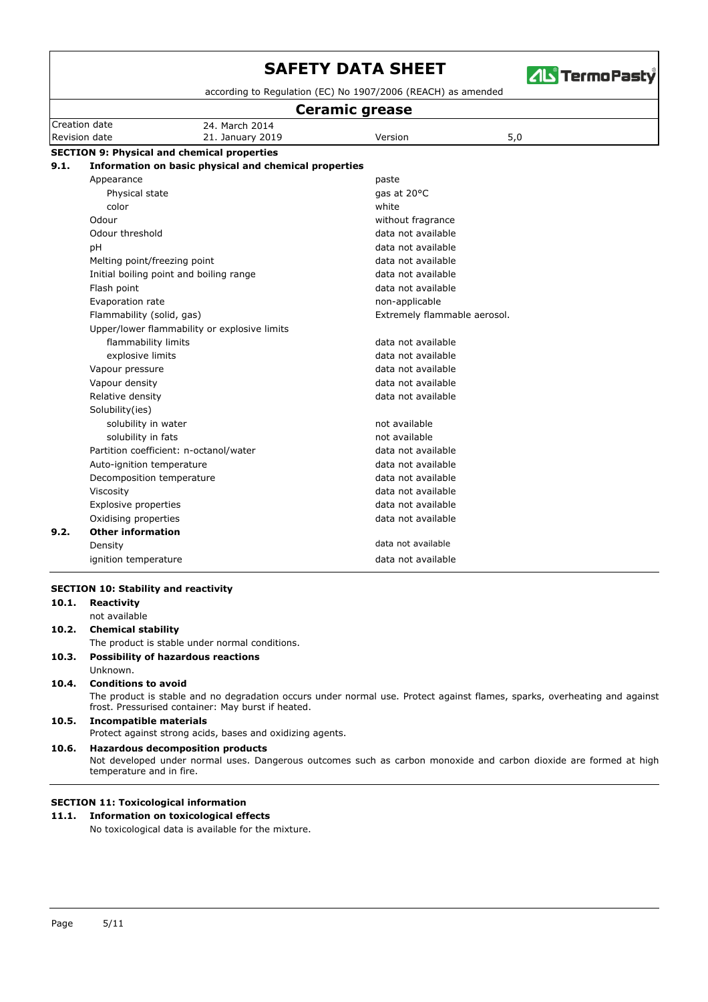

according to Regulation (EC) No 1907/2006 (REACH) as amended

|      | <b>Ceramic grease</b>        |                                                       |                              |     |  |  |  |  |
|------|------------------------------|-------------------------------------------------------|------------------------------|-----|--|--|--|--|
|      | Creation date                | 24. March 2014                                        |                              |     |  |  |  |  |
|      | Revision date                | 21. January 2019                                      | Version                      | 5,0 |  |  |  |  |
|      |                              | <b>SECTION 9: Physical and chemical properties</b>    |                              |     |  |  |  |  |
| 9.1. |                              | Information on basic physical and chemical properties |                              |     |  |  |  |  |
|      | Appearance                   |                                                       | paste                        |     |  |  |  |  |
|      | Physical state               |                                                       | gas at 20°C                  |     |  |  |  |  |
|      | color                        |                                                       | white                        |     |  |  |  |  |
|      | Odour                        |                                                       | without fragrance            |     |  |  |  |  |
|      | Odour threshold              |                                                       | data not available           |     |  |  |  |  |
|      | pH                           |                                                       | data not available           |     |  |  |  |  |
|      | Melting point/freezing point |                                                       | data not available           |     |  |  |  |  |
|      |                              | Initial boiling point and boiling range               | data not available           |     |  |  |  |  |
|      | Flash point                  |                                                       | data not available           |     |  |  |  |  |
|      | Evaporation rate             |                                                       | non-applicable               |     |  |  |  |  |
|      | Flammability (solid, gas)    |                                                       | Extremely flammable aerosol. |     |  |  |  |  |
|      |                              | Upper/lower flammability or explosive limits          |                              |     |  |  |  |  |
|      | flammability limits          |                                                       | data not available           |     |  |  |  |  |
|      | explosive limits             |                                                       | data not available           |     |  |  |  |  |
|      | Vapour pressure              |                                                       | data not available           |     |  |  |  |  |
|      | Vapour density               |                                                       | data not available           |     |  |  |  |  |
|      | Relative density             |                                                       | data not available           |     |  |  |  |  |
|      | Solubility(ies)              |                                                       |                              |     |  |  |  |  |
|      | solubility in water          |                                                       | not available                |     |  |  |  |  |
|      | solubility in fats           |                                                       | not available                |     |  |  |  |  |
|      |                              | Partition coefficient: n-octanol/water                | data not available           |     |  |  |  |  |
|      | Auto-ignition temperature    |                                                       | data not available           |     |  |  |  |  |
|      | Decomposition temperature    |                                                       | data not available           |     |  |  |  |  |
|      | Viscosity                    |                                                       | data not available           |     |  |  |  |  |
|      | Explosive properties         |                                                       | data not available           |     |  |  |  |  |
|      | Oxidising properties         |                                                       | data not available           |     |  |  |  |  |
| 9.2. | <b>Other information</b>     |                                                       |                              |     |  |  |  |  |
|      | Density                      |                                                       | data not available           |     |  |  |  |  |
|      | ignition temperature         |                                                       | data not available           |     |  |  |  |  |

| 10.1. | Reactivity                                                                                                                                                                      |
|-------|---------------------------------------------------------------------------------------------------------------------------------------------------------------------------------|
|       | not available                                                                                                                                                                   |
| 10.2. | <b>Chemical stability</b>                                                                                                                                                       |
|       | The product is stable under normal conditions.                                                                                                                                  |
| 10.3. | <b>Possibility of hazardous reactions</b>                                                                                                                                       |
|       | Unknown.                                                                                                                                                                        |
| 10.4. | <b>Conditions to avoid</b>                                                                                                                                                      |
|       | The product is stable and no degradation occurs under normal use. Protect against flames, sparks, overheating and against<br>frost. Pressurised container: May burst if heated. |
| 10.5. | Incompatible materials                                                                                                                                                          |
|       | Protect against strong acids, bases and oxidizing agents.                                                                                                                       |
| 10.6. | <b>Hazardous decomposition products</b>                                                                                                                                         |
|       | Not developed under normal uses. Dangerous outcomes such as carbon monoxide and carbon dioxide are formed at high<br>temperature and in fire.                                   |

# **SECTION 11: Toxicological information**

# **11.1. Information on toxicological effects**

No toxicological data is available for the mixture.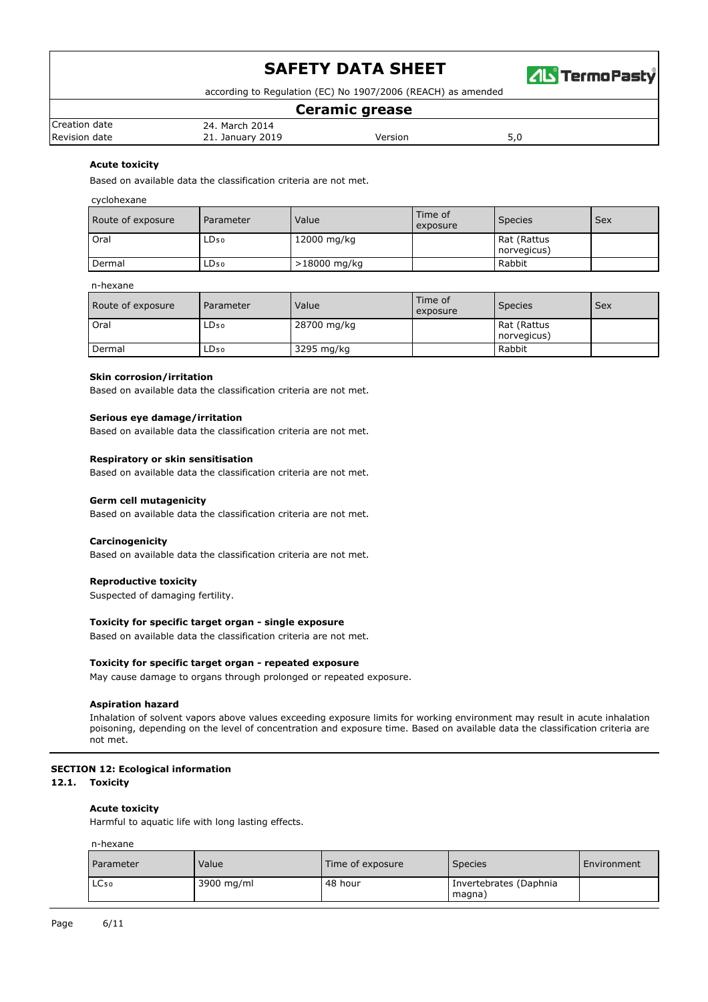

according to Regulation (EC) No 1907/2006 (REACH) as amended

### **Ceramic grease**

| Creation<br>date | 2014<br>24.<br>March          |         |     |
|------------------|-------------------------------|---------|-----|
| Revision<br>date | 2019<br>Januarv<br>ᅀᄔ<br>____ | Version | ں ر |
|                  |                               |         |     |

### **Acute toxicity**

Based on available data the classification criteria are not met.

#### cyclohexane

| Route of exposure | Parameter        | Value        | Time of<br>exposure | <b>Species</b>             | <b>Sex</b> |
|-------------------|------------------|--------------|---------------------|----------------------------|------------|
| Oral              | LD <sub>50</sub> | 12000 mg/kg  |                     | Rat (Rattus<br>norvegicus) |            |
| Dermal            | LD <sub>50</sub> | >18000 mg/kg |                     | Rabbit                     |            |

#### n-hexane

| Route of exposure | Parameter | Value       | Time of<br>exposure | <b>Species</b>             | <b>Sex</b> |
|-------------------|-----------|-------------|---------------------|----------------------------|------------|
| <b>Oral</b>       | LD50      | 28700 mg/kg |                     | Rat (Rattus<br>norvegicus) |            |
| Dermal            | LD50      | 3295 mg/kg  |                     | Rabbit                     |            |

#### **Skin corrosion/irritation**

Based on available data the classification criteria are not met.

#### **Serious eye damage/irritation**

Based on available data the classification criteria are not met.

#### **Respiratory or skin sensitisation**

Based on available data the classification criteria are not met.

#### **Germ cell mutagenicity**

Based on available data the classification criteria are not met.

#### **Carcinogenicity**

Based on available data the classification criteria are not met.

### **Reproductive toxicity**

Suspected of damaging fertility.

### **Toxicity for specific target organ - single exposure**

Based on available data the classification criteria are not met.

#### **Toxicity for specific target organ - repeated exposure**

May cause damage to organs through prolonged or repeated exposure.

#### **Aspiration hazard**

Inhalation of solvent vapors above values exceeding exposure limits for working environment may result in acute inhalation poisoning, depending on the level of concentration and exposure time. Based on available data the classification criteria are not met.

#### **SECTION 12: Ecological information**

#### **12.1. Toxicity**

#### **Acute toxicity**

Harmful to aquatic life with long lasting effects.

#### n-hexane

| Parameter        | Value      | Time of exposure | <b>Species</b>                   | Environment |
|------------------|------------|------------------|----------------------------------|-------------|
| LC <sub>50</sub> | 3900 mg/ml | 48 hour          | Invertebrates (Daphnia<br>magna) |             |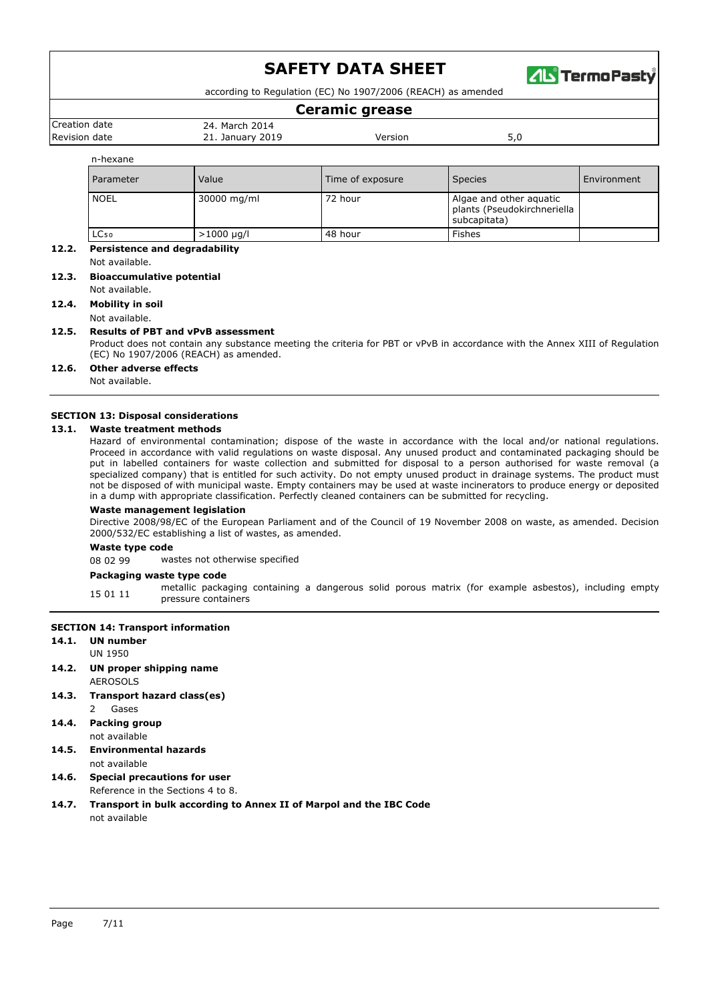

according to Regulation (EC) No 1907/2006 (REACH) as amended

# **Ceramic grease**

| Creation date        |  |  |
|----------------------|--|--|
| <b>Revision date</b> |  |  |

Revision date 21. January 2019 Version 5,0

n-hexane

| n-nexane         |                 |                  |                                                                        |             |
|------------------|-----------------|------------------|------------------------------------------------------------------------|-------------|
| <b>Parameter</b> | Value           | Time of exposure | <b>Species</b>                                                         | Environment |
| <b>NOEL</b>      | 30000 mg/ml     | 72 hour          | Algae and other aquatic<br>plants (Pseudokirchneriella<br>subcapitata) |             |
| LC <sub>50</sub> | $>1000 \mu q/l$ | 48 hour          | Fishes                                                                 |             |

# **12.2. Persistence and degradability**

Not available.

# **12.3. Bioaccumulative potential**

Not available.

**12.4. Mobility in soil**

#### Not available. **12.5. Results of PBT and vPvB assessment**

24. March 2014

Product does not contain any substance meeting the criteria for PBT or vPvB in accordance with the Annex XIII of Regulation (EC) No 1907/2006 (REACH) as amended.

#### **12.6. Other adverse effects**

Not available.

#### **SECTION 13: Disposal considerations**

### **13.1. Waste treatment methods**

Hazard of environmental contamination; dispose of the waste in accordance with the local and/or national regulations. Proceed in accordance with valid regulations on waste disposal. Any unused product and contaminated packaging should be put in labelled containers for waste collection and submitted for disposal to a person authorised for waste removal (a specialized company) that is entitled for such activity. Do not empty unused product in drainage systems. The product must not be disposed of with municipal waste. Empty containers may be used at waste incinerators to produce energy or deposited in a dump with appropriate classification. Perfectly cleaned containers can be submitted for recycling.

#### **Waste management legislation**

Directive 2008/98/EC of the European Parliament and of the Council of 19 November 2008 on waste, as amended. Decision 2000/532/EC establishing a list of wastes, as amended.

#### **Waste type code**

08 02 99 wastes not otherwise specified

#### **Packaging waste type code**

15 01 11 metallic packaging containing a dangerous solid porous matrix (for example asbestos), including empty pressure containers

#### **SECTION 14: Transport information**

**14.1. UN number**

- UN 1950
- **14.2. UN proper shipping name** AEROSOLS
- **14.3. Transport hazard class(es)** 2 Gases
- **14.4. Packing group** not available
- **14.5. Environmental hazards**
- not available
- **14.6. Special precautions for user**
	- Reference in the Sections 4 to 8.
- **14.7. Transport in bulk according to Annex II of Marpol and the IBC Code** not available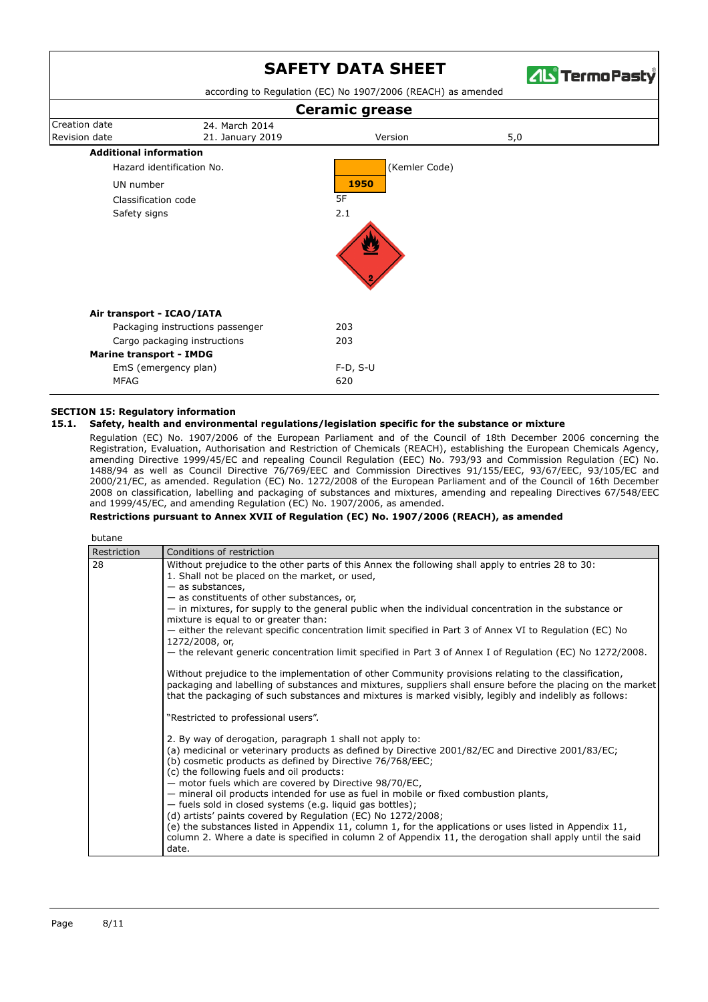

according to Regulation (EC) No 1907/2006 (REACH) as amended



### **SECTION 15: Regulatory information**

#### **15.1. Safety, health and environmental regulations/legislation specific for the substance or mixture**

Regulation (EC) No. 1907/2006 of the European Parliament and of the Council of 18th December 2006 concerning the Registration, Evaluation, Authorisation and Restriction of Chemicals (REACH), establishing the European Chemicals Agency, amending Directive 1999/45/EC and repealing Council Regulation (EEC) No. 793/93 and Commission Regulation (EC) No. 1488/94 as well as Council Directive 76/769/EEC and Commission Directives 91/155/EEC, 93/67/EEC, 93/105/EC and 2000/21/EC, as amended. Regulation (EC) No. 1272/2008 of the European Parliament and of the Council of 16th December 2008 on classification, labelling and packaging of substances and mixtures, amending and repealing Directives 67/548/EEC and 1999/45/EC, and amending Regulation (EC) No. 1907/2006, as amended.

#### **Restrictions pursuant to Annex XVII of Regulation (EC) No. 1907/2006 (REACH), as amended**

| butane      |                                                                                                                                                                                                                                                                                                                                                                                                                                                                                                                                                                                                                                                                                                                                                                                                                                                                                                                                                                                                |
|-------------|------------------------------------------------------------------------------------------------------------------------------------------------------------------------------------------------------------------------------------------------------------------------------------------------------------------------------------------------------------------------------------------------------------------------------------------------------------------------------------------------------------------------------------------------------------------------------------------------------------------------------------------------------------------------------------------------------------------------------------------------------------------------------------------------------------------------------------------------------------------------------------------------------------------------------------------------------------------------------------------------|
| Restriction | Conditions of restriction                                                                                                                                                                                                                                                                                                                                                                                                                                                                                                                                                                                                                                                                                                                                                                                                                                                                                                                                                                      |
| 28          | Without prejudice to the other parts of this Annex the following shall apply to entries 28 to 30:<br>1. Shall not be placed on the market, or used,<br>$-$ as substances,<br>- as constituents of other substances, or,<br>- in mixtures, for supply to the general public when the individual concentration in the substance or<br>mixture is equal to or greater than:<br>- either the relevant specific concentration limit specified in Part 3 of Annex VI to Regulation (EC) No<br>1272/2008, or,<br>- the relevant generic concentration limit specified in Part 3 of Annex I of Regulation (EC) No 1272/2008.<br>Without prejudice to the implementation of other Community provisions relating to the classification,<br>packaging and labelling of substances and mixtures, suppliers shall ensure before the placing on the market<br>that the packaging of such substances and mixtures is marked visibly, legibly and indelibly as follows:<br>"Restricted to professional users". |
|             | 2. By way of derogation, paragraph 1 shall not apply to:<br>(a) medicinal or veterinary products as defined by Directive 2001/82/EC and Directive 2001/83/EC;<br>(b) cosmetic products as defined by Directive 76/768/EEC;<br>(c) the following fuels and oil products:<br>- motor fuels which are covered by Directive 98/70/EC,<br>- mineral oil products intended for use as fuel in mobile or fixed combustion plants,<br>- fuels sold in closed systems (e.g. liquid gas bottles);<br>(d) artists' paints covered by Regulation (EC) No 1272/2008;<br>(e) the substances listed in Appendix 11, column 1, for the applications or uses listed in Appendix 11,<br>column 2. Where a date is specified in column 2 of Appendix 11, the derogation shall apply until the said<br>date.                                                                                                                                                                                                       |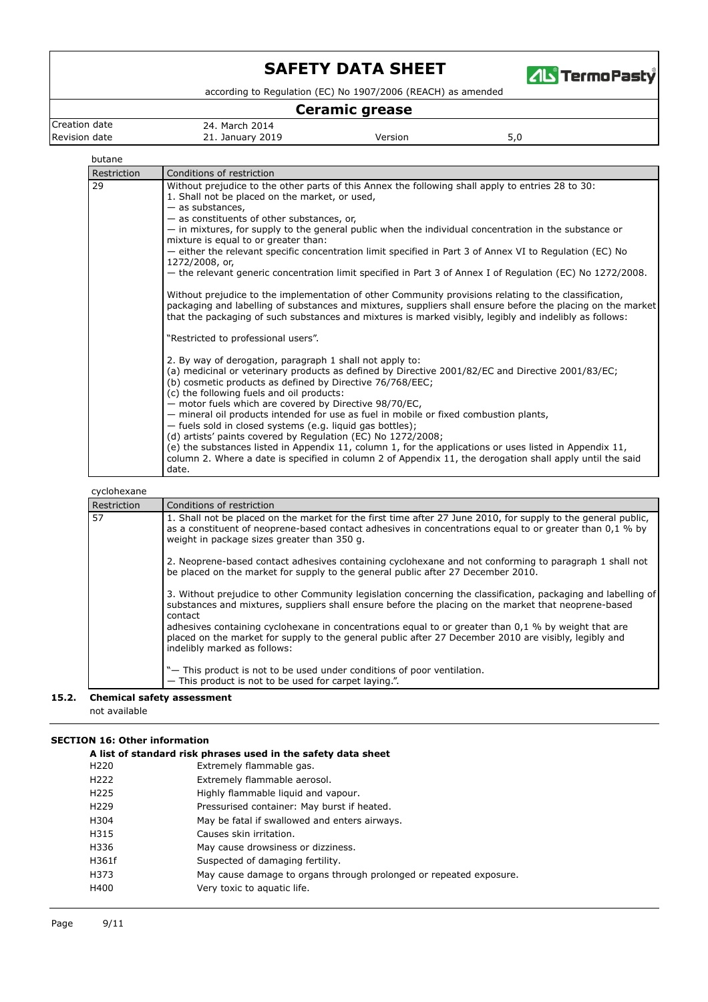

according to Regulation (EC) No 1907/2006 (REACH) as amended

# **Ceramic grease**

Creation date 24. March 2014<br>Revision date 21. January 201

21. January 2019 **Version** S<sub>,0</sub>

butane

| Restriction<br>29 | Conditions of restriction<br>Without prejudice to the other parts of this Annex the following shall apply to entries 28 to 30:<br>1. Shall not be placed on the market, or used,<br>$-$ as substances,<br>- as constituents of other substances, or,<br>- in mixtures, for supply to the general public when the individual concentration in the substance or<br>mixture is equal to or greater than:<br>- either the relevant specific concentration limit specified in Part 3 of Annex VI to Regulation (EC) No<br>1272/2008, or,<br>- the relevant generic concentration limit specified in Part 3 of Annex I of Regulation (EC) No 1272/2008.<br>Without prejudice to the implementation of other Community provisions relating to the classification,<br>packaging and labelling of substances and mixtures, suppliers shall ensure before the placing on the market                                                                  |
|-------------------|--------------------------------------------------------------------------------------------------------------------------------------------------------------------------------------------------------------------------------------------------------------------------------------------------------------------------------------------------------------------------------------------------------------------------------------------------------------------------------------------------------------------------------------------------------------------------------------------------------------------------------------------------------------------------------------------------------------------------------------------------------------------------------------------------------------------------------------------------------------------------------------------------------------------------------------------|
|                   | that the packaging of such substances and mixtures is marked visibly, legibly and indelibly as follows:<br>"Restricted to professional users".<br>2. By way of derogation, paragraph 1 shall not apply to:<br>(a) medicinal or veterinary products as defined by Directive 2001/82/EC and Directive 2001/83/EC;<br>(b) cosmetic products as defined by Directive 76/768/EEC;<br>(c) the following fuels and oil products:<br>- motor fuels which are covered by Directive 98/70/EC,<br>- mineral oil products intended for use as fuel in mobile or fixed combustion plants,<br>- fuels sold in closed systems (e.g. liquid gas bottles);<br>(d) artists' paints covered by Regulation (EC) No 1272/2008;<br>(e) the substances listed in Appendix 11, column 1, for the applications or uses listed in Appendix 11,<br>column 2. Where a date is specified in column 2 of Appendix 11, the derogation shall apply until the said<br>date. |

cyclohexane

| Restriction | Conditions of restriction                                                                                                                                                                                                                                                |
|-------------|--------------------------------------------------------------------------------------------------------------------------------------------------------------------------------------------------------------------------------------------------------------------------|
| 57          | 1. Shall not be placed on the market for the first time after 27 June 2010, for supply to the general public,<br>as a constituent of neoprene-based contact adhesives in concentrations equal to or greater than 0.1 % by<br>weight in package sizes greater than 350 g. |
|             | 2. Neoprene-based contact adhesives containing cyclohexane and not conforming to paragraph 1 shall not<br>be placed on the market for supply to the general public after 27 December 2010.                                                                               |
|             | 3. Without prejudice to other Community legislation concerning the classification, packaging and labelling of<br>substances and mixtures, suppliers shall ensure before the placing on the market that neoprene-based<br>contact                                         |
|             | adhesives containing cyclohexane in concentrations equal to or greater than $0.1\%$ by weight that are<br>placed on the market for supply to the general public after 27 December 2010 are visibly, legibly and<br>indelibly marked as follows:                          |
|             | "- This product is not to be used under conditions of poor ventilation.<br>- This product is not to be used for carpet laying.".                                                                                                                                         |

#### **15.2. Chemical safety assessment** not available

# **SECTION 16: Other information**

| A list of standard risk phrases used in the safety data sheet |                                                                    |  |  |
|---------------------------------------------------------------|--------------------------------------------------------------------|--|--|
| H <sub>220</sub>                                              | Extremely flammable gas.                                           |  |  |
| H <sub>222</sub>                                              | Extremely flammable aerosol.                                       |  |  |
| H <sub>225</sub>                                              | Highly flammable liquid and vapour.                                |  |  |
| H <sub>229</sub>                                              | Pressurised container: May burst if heated.                        |  |  |
| H304                                                          | May be fatal if swallowed and enters airways.                      |  |  |
| H315                                                          | Causes skin irritation.                                            |  |  |
| H336                                                          | May cause drowsiness or dizziness.                                 |  |  |
| H361f                                                         | Suspected of damaging fertility.                                   |  |  |
| H373                                                          | May cause damage to organs through prolonged or repeated exposure. |  |  |
| H400                                                          | Very toxic to aquatic life.                                        |  |  |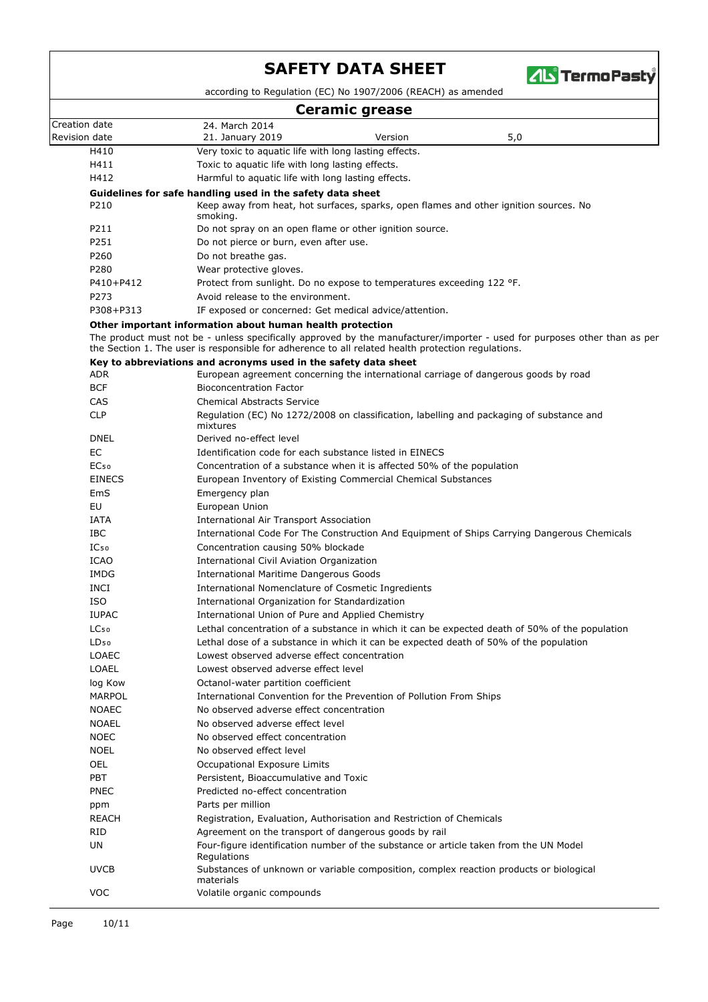

according to Regulation (EC) No 1907/2006 (REACH) as amended

| <b>Ceramic grease</b>         |                                                                                                                                                                                                                                 |  |  |
|-------------------------------|---------------------------------------------------------------------------------------------------------------------------------------------------------------------------------------------------------------------------------|--|--|
| Creation date                 | 24. March 2014                                                                                                                                                                                                                  |  |  |
| Revision date                 | 5,0<br>21. January 2019<br>Version                                                                                                                                                                                              |  |  |
| H410                          | Very toxic to aquatic life with long lasting effects.                                                                                                                                                                           |  |  |
| H411                          | Toxic to aquatic life with long lasting effects.                                                                                                                                                                                |  |  |
| H412                          | Harmful to aquatic life with long lasting effects.                                                                                                                                                                              |  |  |
|                               | Guidelines for safe handling used in the safety data sheet                                                                                                                                                                      |  |  |
| P210                          | Keep away from heat, hot surfaces, sparks, open flames and other ignition sources. No<br>smoking.                                                                                                                               |  |  |
| P211                          | Do not spray on an open flame or other ignition source.                                                                                                                                                                         |  |  |
| P251                          | Do not pierce or burn, even after use.                                                                                                                                                                                          |  |  |
| P260                          | Do not breathe gas.                                                                                                                                                                                                             |  |  |
| P280                          | Wear protective gloves.                                                                                                                                                                                                         |  |  |
| P410+P412                     | Protect from sunlight. Do no expose to temperatures exceeding 122 °F.                                                                                                                                                           |  |  |
| P273                          | Avoid release to the environment.                                                                                                                                                                                               |  |  |
| P308+P313                     | IF exposed or concerned: Get medical advice/attention.                                                                                                                                                                          |  |  |
|                               | Other important information about human health protection                                                                                                                                                                       |  |  |
|                               | The product must not be - unless specifically approved by the manufacturer/importer - used for purposes other than as per<br>the Section 1. The user is responsible for adherence to all related health protection regulations. |  |  |
|                               | Key to abbreviations and acronyms used in the safety data sheet                                                                                                                                                                 |  |  |
| ADR                           | European agreement concerning the international carriage of dangerous goods by road                                                                                                                                             |  |  |
| <b>BCF</b>                    | <b>Bioconcentration Factor</b>                                                                                                                                                                                                  |  |  |
| CAS                           | <b>Chemical Abstracts Service</b>                                                                                                                                                                                               |  |  |
| <b>CLP</b>                    | Regulation (EC) No 1272/2008 on classification, labelling and packaging of substance and<br>mixtures                                                                                                                            |  |  |
| <b>DNEL</b>                   | Derived no-effect level                                                                                                                                                                                                         |  |  |
| EC                            | Identification code for each substance listed in EINECS                                                                                                                                                                         |  |  |
| EC <sub>50</sub>              | Concentration of a substance when it is affected 50% of the population                                                                                                                                                          |  |  |
| <b>EINECS</b>                 | European Inventory of Existing Commercial Chemical Substances                                                                                                                                                                   |  |  |
| EmS                           | Emergency plan                                                                                                                                                                                                                  |  |  |
| EU                            | European Union                                                                                                                                                                                                                  |  |  |
| IATA                          | International Air Transport Association                                                                                                                                                                                         |  |  |
| <b>IBC</b>                    | International Code For The Construction And Equipment of Ships Carrying Dangerous Chemicals                                                                                                                                     |  |  |
| IC <sub>50</sub>              | Concentration causing 50% blockade                                                                                                                                                                                              |  |  |
| <b>ICAO</b>                   | International Civil Aviation Organization                                                                                                                                                                                       |  |  |
| IMDG                          | <b>International Maritime Dangerous Goods</b>                                                                                                                                                                                   |  |  |
| <b>INCI</b>                   | International Nomenclature of Cosmetic Ingredients                                                                                                                                                                              |  |  |
| <b>ISO</b>                    | International Organization for Standardization                                                                                                                                                                                  |  |  |
| <b>IUPAC</b>                  | International Union of Pure and Applied Chemistry                                                                                                                                                                               |  |  |
| LC <sub>50</sub><br>$LD_{50}$ | Lethal concentration of a substance in which it can be expected death of 50% of the population                                                                                                                                  |  |  |
| <b>LOAEC</b>                  | Lethal dose of a substance in which it can be expected death of 50% of the population<br>Lowest observed adverse effect concentration                                                                                           |  |  |
| LOAEL                         | Lowest observed adverse effect level                                                                                                                                                                                            |  |  |
| log Kow                       | Octanol-water partition coefficient                                                                                                                                                                                             |  |  |
| MARPOL                        | International Convention for the Prevention of Pollution From Ships                                                                                                                                                             |  |  |
| <b>NOAEC</b>                  | No observed adverse effect concentration                                                                                                                                                                                        |  |  |
| <b>NOAEL</b>                  | No observed adverse effect level                                                                                                                                                                                                |  |  |
| <b>NOEC</b>                   | No observed effect concentration                                                                                                                                                                                                |  |  |
| <b>NOEL</b>                   | No observed effect level                                                                                                                                                                                                        |  |  |
| OEL                           | Occupational Exposure Limits                                                                                                                                                                                                    |  |  |
| <b>PBT</b>                    | Persistent, Bioaccumulative and Toxic                                                                                                                                                                                           |  |  |
| PNEC                          | Predicted no-effect concentration                                                                                                                                                                                               |  |  |
| ppm                           | Parts per million                                                                                                                                                                                                               |  |  |
| <b>REACH</b>                  | Registration, Evaluation, Authorisation and Restriction of Chemicals                                                                                                                                                            |  |  |
| <b>RID</b>                    | Agreement on the transport of dangerous goods by rail                                                                                                                                                                           |  |  |
| UN                            | Four-figure identification number of the substance or article taken from the UN Model<br>Regulations                                                                                                                            |  |  |
| <b>UVCB</b>                   | Substances of unknown or variable composition, complex reaction products or biological<br>materials                                                                                                                             |  |  |
| <b>VOC</b>                    | Volatile organic compounds                                                                                                                                                                                                      |  |  |